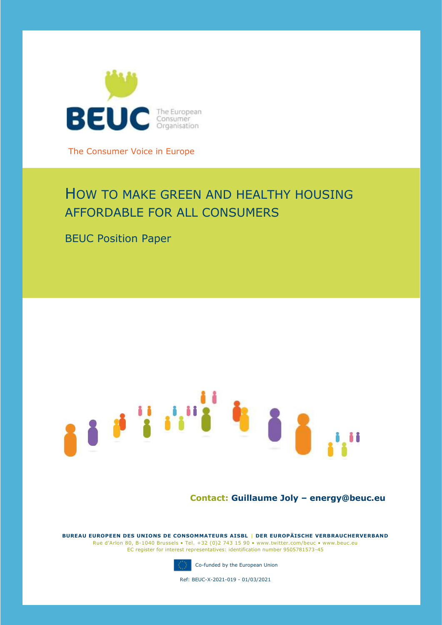

The Consumer Voice in Europe

# HOW TO MAKE GREEN AND HEALTHY HOUSING AFFORDABLE FOR ALL CONSUMERS

BEUC Position Paper



## **Contact: Guillaume Joly – energy@beuc.eu**

**BUREAU EUROPEEN DES UNIONS DE CONSOMMATEURS AISBL | DER EUROPÄISCHE VERBRAUCHERVERBAND** Rue d'Arlon 80, B-1040 Brussels • Tel. +32 (0)2 743 15 90 • www.twitter.com/beuc • www.beuc.eu EC register for interest representatives: identification number 9505781573-45



Co-funded by the European Union

Ref: BEUC-X-2021-019 - 01/03/2021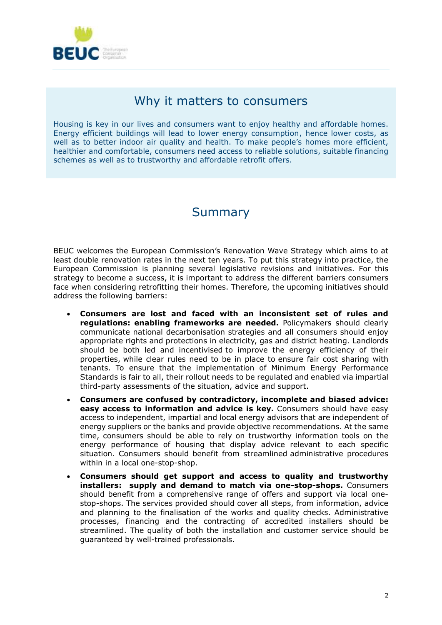

## Why it matters to consumers

Housing is key in our lives and consumers want to enjoy healthy and affordable homes. Energy efficient buildings will lead to lower energy consumption, hence lower costs, as well as to better indoor air quality and health. To make people's homes more efficient, healthier and comfortable, consumers need access to reliable solutions, suitable financing schemes as well as to trustworthy and affordable retrofit offers.

## Summary

BEUC welcomes the European Commission's Renovation Wave Strategy which aims to at least double renovation rates in the next ten years. To put this strategy into practice, the European Commission is planning several legislative revisions and initiatives. For this strategy to become a success, it is important to address the different barriers consumers face when considering retrofitting their homes. Therefore, the upcoming initiatives should address the following barriers:

- **Consumers are lost and faced with an inconsistent set of rules and regulations: enabling frameworks are needed.** Policymakers should clearly communicate national decarbonisation strategies and all consumers should enjoy appropriate rights and protections in electricity, gas and district heating. Landlords should be both led and incentivised to improve the energy efficiency of their properties, while clear rules need to be in place to ensure fair cost sharing with tenants. To ensure that the implementation of Minimum Energy Performance Standards is fair to all, their rollout needs to be regulated and enabled via impartial third-party assessments of the situation, advice and support.
- **Consumers are confused by contradictory, incomplete and biased advice: easy access to information and advice is key.** Consumers should have easy access to independent, impartial and local energy advisors that are independent of energy suppliers or the banks and provide objective recommendations. At the same time, consumers should be able to rely on trustworthy information tools on the energy performance of housing that display advice relevant to each specific situation. Consumers should benefit from streamlined administrative procedures within in a local one-stop-shop.
- **Consumers should get support and access to quality and trustworthy installers: supply and demand to match via one-stop-shops.** Consumers should benefit from a comprehensive range of offers and support via local onestop-shops. The services provided should cover all steps, from information, advice and planning to the finalisation of the works and quality checks. Administrative processes, financing and the contracting of accredited installers should be streamlined. The quality of both the installation and customer service should be guaranteed by well-trained professionals.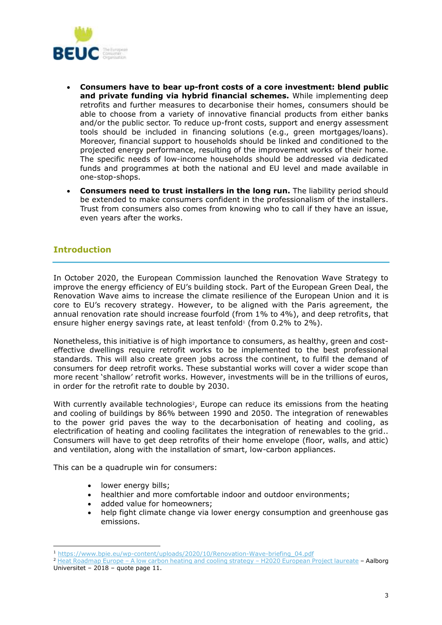

- **Consumers have to bear up-front costs of a core investment: blend public and private funding via hybrid financial schemes.** While implementing deep retrofits and further measures to decarbonise their homes, consumers should be able to choose from a variety of innovative financial products from either banks and/or the public sector. To reduce up-front costs, support and energy assessment tools should be included in financing solutions (e.g., green mortgages/loans). Moreover, financial support to households should be linked and conditioned to the projected energy performance, resulting of the improvement works of their home. The specific needs of low-income households should be addressed via dedicated funds and programmes at both the national and EU level and made available in one-stop-shops.
- **Consumers need to trust installers in the long run.** The liability period should be extended to make consumers confident in the professionalism of the installers. Trust from consumers also comes from knowing who to call if they have an issue, even years after the works.

## **Introduction**

In October 2020, the European Commission launched the Renovation Wave Strategy to improve the energy efficiency of EU's building stock. Part of the European Green Deal, the Renovation Wave aims to increase the climate resilience of the European Union and it is core to EU's recovery strategy. However, to be aligned with the Paris agreement, the annual renovation rate should increase fourfold (from 1% to 4%), and deep retrofits, that ensure higher energy savings rate, at least tenfold<sup>1</sup> (from  $0.2\%$  to  $2\%$ ).

Nonetheless, this initiative is of high importance to consumers, as healthy, green and costeffective dwellings require retrofit works to be implemented to the best professional standards. This will also create green jobs across the continent, to fulfil the demand of consumers for deep retrofit works. These substantial works will cover a wider scope than more recent 'shallow' retrofit works. However, investments will be in the trillions of euros, in order for the retrofit rate to double by 2030.

With currently available technologies<sup>2</sup>, Europe can reduce its emissions from the heating and cooling of buildings by 86% between 1990 and 2050. The integration of renewables to the power grid paves the way to the decarbonisation of heating and cooling, as electrification of heating and cooling facilitates the integration of renewables to the grid.. Consumers will have to get deep retrofits of their home envelope (floor, walls, and attic) and ventilation, along with the installation of smart, low-carbon appliances.

This can be a quadruple win for consumers:

- lower energy bills;
- healthier and more comfortable indoor and outdoor environments;
- added value for homeowners;
- help fight climate change via lower energy consumption and greenhouse gas emissions.

<sup>1</sup> [https://www.bpie.eu/wp-content/uploads/2020/10/Renovation-Wave-briefing\\_04.pdf](https://www.bpie.eu/wp-content/uploads/2020/10/Renovation-Wave-briefing_04.pdf)

<sup>2</sup> Heat Roadmap Europe – [A low carbon heating and cooling strategy](https://vbn.aau.dk/ws/portalfiles/portal/288075507/Heat_Roadmap_Europe_4_Quantifying_the_Impact_of_Low_Carbon_Heating_and_Cooling_Roadmaps..pdf) – H2020 European Project laureate – Aalborg Universitet – 2018 – quote page 11.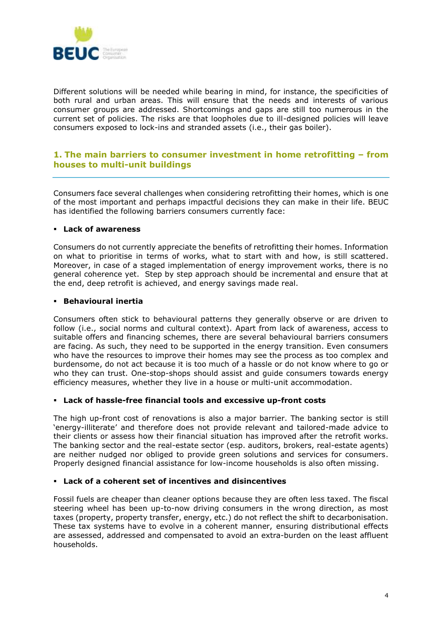

Different solutions will be needed while bearing in mind, for instance, the specificities of both rural and urban areas. This will ensure that the needs and interests of various consumer groups are addressed. Shortcomings and gaps are still too numerous in the current set of policies. The risks are that loopholes due to ill-designed policies will leave consumers exposed to lock-ins and stranded assets (i.e., their gas boiler).

## **1. The main barriers to consumer investment in home retrofitting – from houses to multi-unit buildings**

Consumers face several challenges when considering retrofitting their homes, which is one of the most important and perhaps impactful decisions they can make in their life. BEUC has identified the following barriers consumers currently face:

#### ▪ **Lack of awareness**

Consumers do not currently appreciate the benefits of retrofitting their homes. Information on what to prioritise in terms of works, what to start with and how, is still scattered. Moreover, in case of a staged implementation of energy improvement works, there is no general coherence yet. Step by step approach should be incremental and ensure that at the end, deep retrofit is achieved, and energy savings made real.

#### ▪ **Behavioural inertia**

Consumers often stick to behavioural patterns they generally observe or are driven to follow (i.e., social norms and cultural context). Apart from lack of awareness, access to suitable offers and financing schemes, there are several behavioural barriers consumers are facing. As such, they need to be supported in the energy transition. Even consumers who have the resources to improve their homes may see the process as too complex and burdensome, do not act because it is too much of a hassle or do not know where to go or who they can trust. One-stop-shops should assist and guide consumers towards energy efficiency measures, whether they live in a house or multi-unit accommodation.

#### ▪ **Lack of hassle-free financial tools and excessive up-front costs**

The high up-front cost of renovations is also a major barrier. The banking sector is still 'energy-illiterate' and therefore does not provide relevant and tailored-made advice to their clients or assess how their financial situation has improved after the retrofit works. The banking sector and the real-estate sector (esp. auditors, brokers, real-estate agents) are neither nudged nor obliged to provide green solutions and services for consumers. Properly designed financial assistance for low-income households is also often missing.

#### ▪ **Lack of a coherent set of incentives and disincentives**

Fossil fuels are cheaper than cleaner options because they are often less taxed. The fiscal steering wheel has been up-to-now driving consumers in the wrong direction, as most taxes (property, property transfer, energy, etc.) do not reflect the shift to decarbonisation. These tax systems have to evolve in a coherent manner, ensuring distributional effects are assessed, addressed and compensated to avoid an extra-burden on the least affluent households.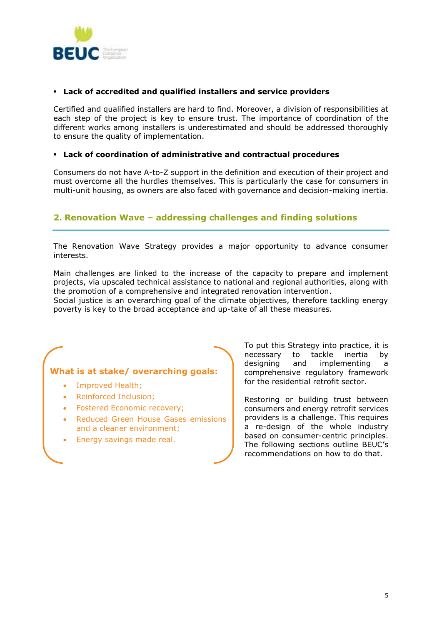

### ▪ **Lack of accredited and qualified installers and service providers**

Certified and qualified installers are hard to find. Moreover, a division of responsibilities at each step of the project is key to ensure trust. The importance of coordination of the different works among installers is underestimated and should be addressed thoroughly to ensure the quality of implementation.

#### ▪ **Lack of coordination of administrative and contractual procedures**

Consumers do not have A-to-Z support in the definition and execution of their project and must overcome all the hurdles themselves. This is particularly the case for consumers in multi-unit housing, as owners are also faced with governance and decision-making inertia.

## **2. Renovation Wave – addressing challenges and finding solutions**

The Renovation Wave Strategy provides a major opportunity to advance consumer interests.

Main challenges are linked to the increase of the capacity to prepare and implement projects, via upscaled technical assistance to national and regional authorities, along with the promotion of a comprehensive and integrated renovation intervention.

Social justice is an overarching goal of the climate objectives, therefore tackling energy poverty is key to the broad acceptance and up-take of all these measures.

## **What is at stake/ overarching goals:**

- Improved Health;
- Reinforced Inclusion;
- Fostered Economic recovery;
- Reduced Green House Gases emissions and a cleaner environment;
- Energy savings made real.

To put this Strategy into practice, it is necessary to tackle inertia by designing and implementing a comprehensive regulatory framework for the residential retrofit sector.

Restoring or building trust between consumers and energy retrofit services providers is a challenge. This requires a re-design of the whole industry based on consumer-centric principles. The following sections outline BEUC's recommendations on how to do that.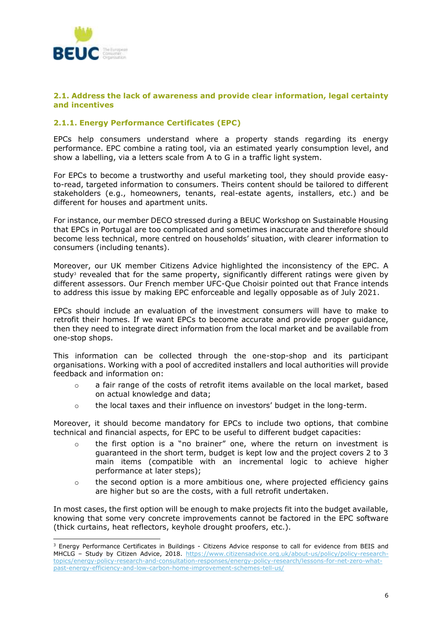

#### **2.1. Address the lack of awareness and provide clear information, legal certainty and incentives**

#### **2.1.1. Energy Performance Certificates (EPC)**

EPCs help consumers understand where a property stands regarding its energy performance. EPC combine a rating tool, via an estimated yearly consumption level, and show a labelling, via a letters scale from A to G in a traffic light system.

For EPCs to become a trustworthy and useful marketing tool, they should provide easyto-read, targeted information to consumers. Theirs content should be tailored to different stakeholders (e.g., homeowners, tenants, real-estate agents, installers, etc.) and be different for houses and apartment units.

For instance, our member DECO stressed during a BEUC Workshop on Sustainable Housing that EPCs in Portugal are too complicated and sometimes inaccurate and therefore should become less technical, more centred on households' situation, with clearer information to consumers (including tenants).

Moreover, our UK member Citizens Advice highlighted the inconsistency of the EPC. A study<sup>3</sup> revealed that for the same property, significantly different ratings were given by different assessors. Our French member UFC-Que Choisir pointed out that France intends to address this issue by making EPC enforceable and legally opposable as of July 2021.

EPCs should include an evaluation of the investment consumers will have to make to retrofit their homes. If we want EPCs to become accurate and provide proper guidance, then they need to integrate direct information from the local market and be available from one-stop shops.

This information can be collected through the one-stop-shop and its participant organisations. Working with a pool of accredited installers and local authorities will provide feedback and information on:

- $\circ$  a fair range of the costs of retrofit items available on the local market, based on actual knowledge and data;
- o the local taxes and their influence on investors' budget in the long-term.

Moreover, it should become mandatory for EPCs to include two options, that combine technical and financial aspects, for EPC to be useful to different budget capacities:

- $\circ$  the first option is a "no brainer" one, where the return on investment is guaranteed in the short term, budget is kept low and the project covers 2 to 3 main items (compatible with an incremental logic to achieve higher performance at later steps);
- $\circ$  the second option is a more ambitious one, where projected efficiency gains are higher but so are the costs, with a full retrofit undertaken.

In most cases, the first option will be enough to make projects fit into the budget available, knowing that some very concrete improvements cannot be factored in the EPC software (thick curtains, heat reflectors, keyhole drought proofers, etc.).

<sup>&</sup>lt;sup>3</sup> Energy Performance Certificates in Buildings - Citizens Advice response to call for evidence from BEIS and MHCLG - Study by Citizen Advice, 2018. [https://www.citizensadvice.org.uk/about-us/policy/policy-research](https://www.citizensadvice.org.uk/about-us/policy/policy-research-topics/energy-policy-research-and-consultation-responses/energy-policy-research/lessons-for-net-zero-what-past-energy-efficiency-and-low-carbon-home-improvement-schemes-tell-us/)[topics/energy-policy-research-and-consultation-responses/energy-policy-research/lessons-for-net-zero-what](https://www.citizensadvice.org.uk/about-us/policy/policy-research-topics/energy-policy-research-and-consultation-responses/energy-policy-research/lessons-for-net-zero-what-past-energy-efficiency-and-low-carbon-home-improvement-schemes-tell-us/)[past-energy-efficiency-and-low-carbon-home-improvement-schemes-tell-us/](https://www.citizensadvice.org.uk/about-us/policy/policy-research-topics/energy-policy-research-and-consultation-responses/energy-policy-research/lessons-for-net-zero-what-past-energy-efficiency-and-low-carbon-home-improvement-schemes-tell-us/)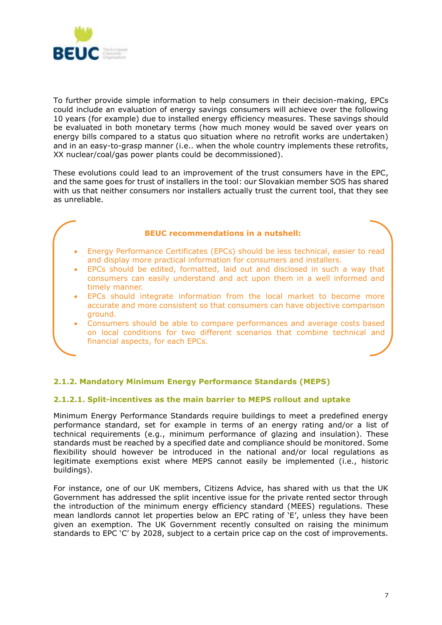

To further provide simple information to help consumers in their decision-making, EPCs could include an evaluation of energy savings consumers will achieve over the following 10 years (for example) due to installed energy efficiency measures. These savings should be evaluated in both monetary terms (how much money would be saved over years on energy bills compared to a status quo situation where no retrofit works are undertaken) and in an easy-to-grasp manner (i.e.. when the whole country implements these retrofits, XX nuclear/coal/gas power plants could be decommissioned).

These evolutions could lead to an improvement of the trust consumers have in the EPC, and the same goes for trust of installers in the tool: our Slovakian member SOS has shared with us that neither consumers nor installers actually trust the current tool, that they see as unreliable.

#### **BEUC recommendations in a nutshell:**

- Energy Performance Certificates (EPCs) should be less technical, easier to read and display more practical information for consumers and installers.
- EPCs should be edited, formatted, laid out and disclosed in such a way that consumers can easily understand and act upon them in a well informed and timely manner.
- EPCs should integrate information from the local market to become more accurate and more consistent so that consumers can have objective comparison ground.
- Consumers should be able to compare performances and average costs based on local conditions for two different scenarios that combine technical and financial aspects, for each EPCs.

## **2.1.2. Mandatory Minimum Energy Performance Standards (MEPS)**

#### **2.1.2.1. Split-incentives as the main barrier to MEPS rollout and uptake**

Minimum Energy Performance Standards require buildings to meet a predefined energy performance standard, set for example in terms of an energy rating and/or a list of technical requirements (e.g., minimum performance of glazing and insulation). These standards must be reached by a specified date and compliance should be monitored. Some flexibility should however be introduced in the national and/or local regulations as legitimate exemptions exist where MEPS cannot easily be implemented (i.e., historic buildings).

For instance, one of our UK members, Citizens Advice, has shared with us that the UK Government has addressed the split incentive issue for the private rented sector through the introduction of the minimum energy efficiency standard (MEES) regulations. These mean landlords cannot let properties below an EPC rating of 'E', unless they have been given an exemption. The UK Government recently consulted on raising the minimum standards to EPC 'C' by 2028, subject to a certain price cap on the cost of improvements.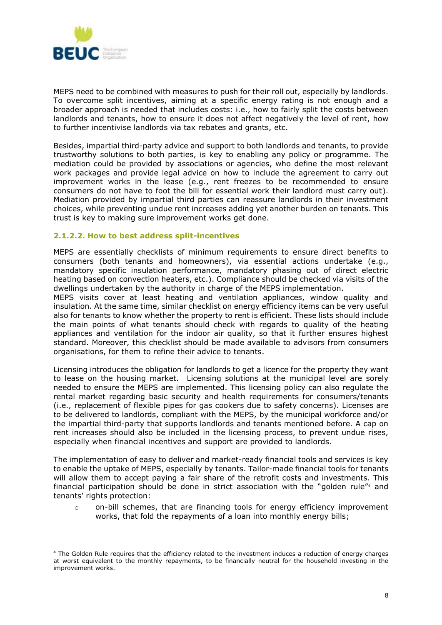

MEPS need to be combined with measures to push for their roll out, especially by landlords. To overcome split incentives, aiming at a specific energy rating is not enough and a broader approach is needed that includes costs: i.e., how to fairly split the costs between landlords and tenants, how to ensure it does not affect negatively the level of rent, how to further incentivise landlords via tax rebates and grants, etc.

Besides, impartial third-party advice and support to both landlords and tenants, to provide trustworthy solutions to both parties, is key to enabling any policy or programme. The mediation could be provided by associations or agencies, who define the most relevant work packages and provide legal advice on how to include the agreement to carry out improvement works in the lease (e.g., rent freezes to be recommended to ensure consumers do not have to foot the bill for essential work their landlord must carry out). Mediation provided by impartial third parties can reassure landlords in their investment choices, while preventing undue rent increases adding yet another burden on tenants. This trust is key to making sure improvement works get done.

#### **2.1.2.2. How to best address split-incentives**

MEPS are essentially checklists of minimum requirements to ensure direct benefits to consumers (both tenants and homeowners), via essential actions undertake (e.g., mandatory specific insulation performance, mandatory phasing out of direct electric heating based on convection heaters, etc.). Compliance should be checked via visits of the dwellings undertaken by the authority in charge of the MEPS implementation.

MEPS visits cover at least heating and ventilation appliances, window quality and insulation. At the same time, similar checklist on energy efficiency items can be very useful also for tenants to know whether the property to rent is efficient. These lists should include the main points of what tenants should check with regards to quality of the heating appliances and ventilation for the indoor air quality, so that it further ensures highest standard. Moreover, this checklist should be made available to advisors from consumers organisations, for them to refine their advice to tenants.

Licensing introduces the obligation for landlords to get a licence for the property they want to lease on the housing market. Licensing solutions at the municipal level are sorely needed to ensure the MEPS are implemented. This licensing policy can also regulate the rental market regarding basic security and health requirements for consumers/tenants (i.e., replacement of flexible pipes for gas cookers due to safety concerns). Licenses are to be delivered to landlords, compliant with the MEPS, by the municipal workforce and/or the impartial third-party that supports landlords and tenants mentioned before. A cap on rent increases should also be included in the licensing process, to prevent undue rises, especially when financial incentives and support are provided to landlords.

The implementation of easy to deliver and market-ready financial tools and services is key to enable the uptake of MEPS, especially by tenants. Tailor-made financial tools for tenants will allow them to accept paying a fair share of the retrofit costs and investments. This financial participation should be done in strict association with the "golden rule" <sup>4</sup> and tenants' rights protection:

o on-bill schemes, that are financing tools for energy efficiency improvement works, that fold the repayments of a loan into monthly energy bills;

<sup>4</sup> The Golden Rule requires that the efficiency related to the investment induces a reduction of energy charges at worst equivalent to the monthly repayments, to be financially neutral for the household investing in the improvement works.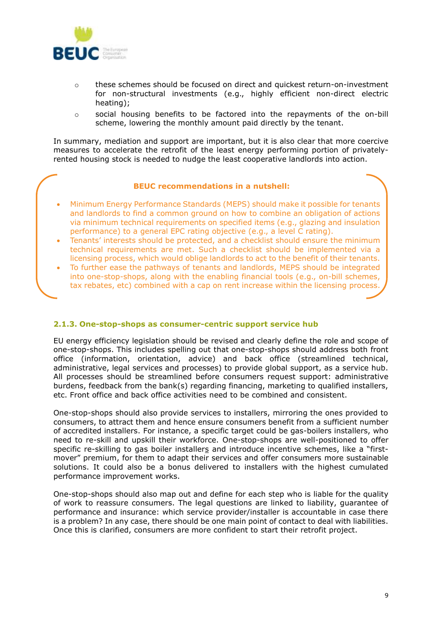

- o these schemes should be focused on direct and quickest return-on-investment for non-structural investments (e.g., highly efficient non-direct electric heating);
- $\circ$  social housing benefits to be factored into the repayments of the on-bill scheme, lowering the monthly amount paid directly by the tenant.

In summary, mediation and support are important, but it is also clear that more coercive measures to accelerate the retrofit of the least energy performing portion of privatelyrented housing stock is needed to nudge the least cooperative landlords into action.

#### **BEUC recommendations in a nutshell:**

- Minimum Energy Performance Standards (MEPS) should make it possible for tenants and landlords to find a common ground on how to combine an obligation of actions via minimum technical requirements on specified items (e.g., glazing and insulation performance) to a general EPC rating objective (e.g., a level C rating).
- Tenants' interests should be protected, and a checklist should ensure the minimum technical requirements are met. Such a checklist should be implemented via a licensing process, which would oblige landlords to act to the benefit of their tenants.
- To further ease the pathways of tenants and landlords, MEPS should be integrated into one-stop-shops, along with the enabling financial tools (e.g., on-bill schemes, tax rebates, etc) combined with a cap on rent increase within the licensing process.

#### **2.1.3. One-stop-shops as consumer-centric support service hub**

EU energy efficiency legislation should be revised and clearly define the role and scope of one-stop-shops. This includes spelling out that one-stop-shops should address both front office (information, orientation, advice) and back office (streamlined technical, administrative, legal services and processes) to provide global support, as a service hub. All processes should be streamlined before consumers request support: administrative burdens, feedback from the bank(s) regarding financing, marketing to qualified installers, etc. Front office and back office activities need to be combined and consistent.

One-stop-shops should also provide services to installers, mirroring the ones provided to consumers, to attract them and hence ensure consumers benefit from a sufficient number of accredited installers. For instance, a specific target could be gas-boilers installers, who need to re-skill and upskill their workforce. One-stop-shops are well-positioned to offer specific re-skilling to gas boiler installers and introduce incentive schemes, like a "firstmover" premium, for them to adapt their services and offer consumers more sustainable solutions. It could also be a bonus delivered to installers with the highest cumulated performance improvement works.

One-stop-shops should also map out and define for each step who is liable for the quality of work to reassure consumers. The legal questions are linked to liability, guarantee of performance and insurance: which service provider/installer is accountable in case there is a problem? In any case, there should be one main point of contact to deal with liabilities. Once this is clarified, consumers are more confident to start their retrofit project.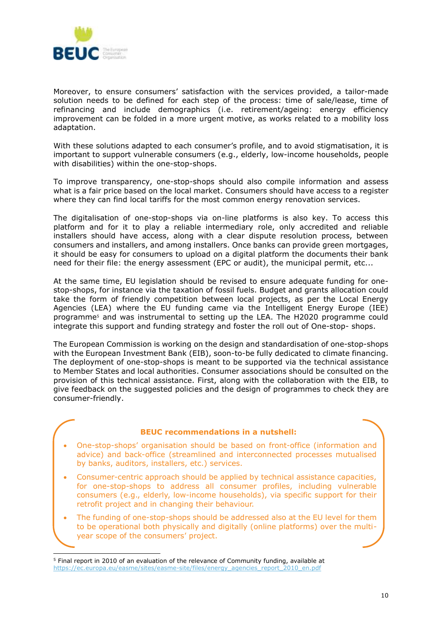

Moreover, to ensure consumers' satisfaction with the services provided, a tailor-made solution needs to be defined for each step of the process: time of sale/lease, time of refinancing and include demographics (i.e. retirement/ageing: energy efficiency improvement can be folded in a more urgent motive, as works related to a mobility loss adaptation.

With these solutions adapted to each consumer's profile, and to avoid stigmatisation, it is important to support vulnerable consumers (e.g., elderly, low-income households, people with disabilities) within the one-stop-shops.

To improve transparency, one-stop-shops should also compile information and assess what is a fair price based on the local market. Consumers should have access to a register where they can find local tariffs for the most common energy renovation services.

The digitalisation of one-stop-shops via on-line platforms is also key. To access this platform and for it to play a reliable intermediary role, only accredited and reliable installers should have access, along with a clear dispute resolution process, between consumers and installers, and among installers. Once banks can provide green mortgages, it should be easy for consumers to upload on a digital platform the documents their bank need for their file: the energy assessment (EPC or audit), the municipal permit, etc...

At the same time, EU legislation should be revised to ensure adequate funding for onestop-shops, for instance via the taxation of fossil fuels. Budget and grants allocation could take the form of friendly competition between local projects, as per the Local Energy Agencies (LEA) where the EU funding came via the Intelligent Energy Europe (IEE) programme<sup>5</sup> and was instrumental to setting up the LEA. The H2020 programme could integrate this support and funding strategy and foster the roll out of One-stop- shops.

The European Commission is working on the design and standardisation of one-stop-shops with the European Investment Bank (EIB), soon-to-be fully dedicated to climate financing. The deployment of one-stop-shops is meant to be supported via the technical assistance to Member States and local authorities. Consumer associations should be consulted on the provision of this technical assistance. First, along with the collaboration with the EIB, to give feedback on the suggested policies and the design of programmes to check they are consumer-friendly.

#### **BEUC recommendations in a nutshell:**

- One-stop-shops' organisation should be based on front-office (information and advice) and back-office (streamlined and interconnected processes mutualised by banks, auditors, installers, etc.) services.
- Consumer-centric approach should be applied by technical assistance capacities, for one-stop-shops to address all consumer profiles, including vulnerable consumers (e.g., elderly, low-income households), via specific support for their retrofit project and in changing their behaviour.
- The funding of one-stop-shops should be addressed also at the EU level for them to be operational both physically and digitally (online platforms) over the multiyear scope of the consumers' project.

<sup>5</sup> Final report in 2010 of an evaluation of the relevance of Community funding, available at [https://ec.europa.eu/easme/sites/easme-site/files/energy\\_agencies\\_report\\_2010\\_en.pdf](https://ec.europa.eu/easme/sites/easme-site/files/energy_agencies_report_2010_en.pdf)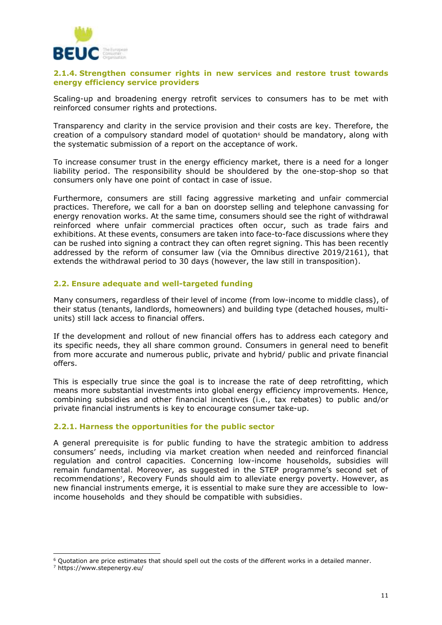

#### **2.1.4. Strengthen consumer rights in new services and restore trust towards energy efficiency service providers**

Scaling-up and broadening energy retrofit services to consumers has to be met with reinforced consumer rights and protections.

Transparency and clarity in the service provision and their costs are key. Therefore, the creation of a compulsory standard model of quotation<sup> $6$ </sup> should be mandatory, along with the systematic submission of a report on the acceptance of work.

To increase consumer trust in the energy efficiency market, there is a need for a longer liability period. The responsibility should be shouldered by the one-stop-shop so that consumers only have one point of contact in case of issue.

Furthermore, consumers are still facing aggressive marketing and unfair commercial practices. Therefore, we call for a ban on doorstep selling and telephone canvassing for energy renovation works. At the same time, consumers should see the right of withdrawal reinforced where unfair commercial practices often occur, such as trade fairs and exhibitions. At these events, consumers are taken into face-to-face discussions where they can be rushed into signing a contract they can often regret signing. This has been recently addressed by the reform of consumer law (via the [Omnibus directive 2019/2161\)](https://eur-lex.europa.eu/legal-content/EN/TXT/PDF/?uri=CELEX:32019L2161&from=EN), that extends the withdrawal period to 30 days (however, the law still in transposition).

#### **2.2. Ensure adequate and well-targeted funding**

Many consumers, regardless of their level of income (from low-income to middle class), of their status (tenants, landlords, homeowners) and building type (detached houses, multiunits) still lack access to financial offers.

If the development and rollout of new financial offers has to address each category and its specific needs, they all share common ground. Consumers in general need to benefit from more accurate and numerous public, private and hybrid/ public and private financial offers.

This is especially true since the goal is to increase the rate of deep retrofitting, which means more substantial investments into global energy efficiency improvements. Hence, combining subsidies and other financial incentives (i.e., tax rebates) to public and/or private financial instruments is key to encourage consumer take-up.

#### **2.2.1. Harness the opportunities for the public sector**

A general prerequisite is for public funding to have the strategic ambition to address consumers' needs, including via market creation when needed and reinforced financial regulation and control capacities. Concerning low-income households, subsidies will remain fundamental. Moreover, as suggested in the STEP programme's second set of recommendations<sup>7</sup> , Recovery Funds should aim to alleviate energy poverty. However, as new financial instruments emerge, it is essential to make sure they are accessible to lowincome households and they should be compatible with subsidies.

 $6$  Quotation are price estimates that should spell out the costs of the different works in a detailed manner.

<sup>7</sup> https://www.stepenergy.eu/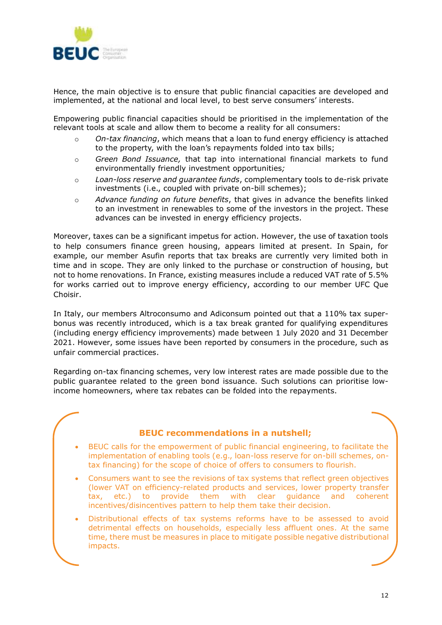

Hence, the main objective is to ensure that public financial capacities are developed and implemented, at the national and local level, to best serve consumers' interests.

Empowering public financial capacities should be prioritised in the implementation of the relevant tools at scale and allow them to become a reality for all consumers:

- o *On-tax financing*, which means that a loan to fund energy efficiency is attached to the property, with the loan's repayments folded into tax bills;
- o *Green Bond Issuance,* that tap into international financial markets to fund environmentally friendly investment opportunities*;*
- o *Loan-loss reserve and guarantee funds*, complementary tools to de-risk private investments (i.e., coupled with private on-bill schemes);
- o *Advance funding on future benefits*, that gives in advance the benefits linked to an investment in renewables to some of the investors in the project. These advances can be invested in energy efficiency projects.

Moreover, taxes can be a significant impetus for action. However, the use of taxation tools to help consumers finance green housing, appears limited at present. In Spain, for example, our member Asufin reports that tax breaks are currently very limited both in time and in scope. They are only linked to the purchase or construction of housing, but not to home renovations. In France, existing measures include a reduced VAT rate of 5.5% for works carried out to improve energy efficiency, according to our member UFC Que Choisir.

In Italy, our members Altroconsumo and Adiconsum pointed out that a 110% tax superbonus was recently introduced, which is a tax break granted for qualifying expenditures (including energy efficiency improvements) made between 1 July 2020 and 31 December 2021. However, some issues have been reported by consumers in the procedure, such as unfair commercial practices.

Regarding on-tax financing schemes, very low interest rates are made possible due to the public guarantee related to the green bond issuance. Such solutions can prioritise lowincome homeowners, where tax rebates can be folded into the repayments.

## **BEUC recommendations in a nutshell;**

- BEUC calls for the empowerment of public financial engineering, to facilitate the implementation of enabling tools (e.g., loan-loss reserve for on-bill schemes, ontax financing) for the scope of choice of offers to consumers to flourish.
- Consumers want to see the revisions of tax systems that reflect green objectives (lower VAT on efficiency-related products and services, lower property transfer tax, etc.) to provide them with clear guidance and coherent incentives/disincentives pattern to help them take their decision.
- Distributional effects of tax systems reforms have to be assessed to avoid detrimental effects on households, especially less affluent ones. At the same time, there must be measures in place to mitigate possible negative distributional impacts.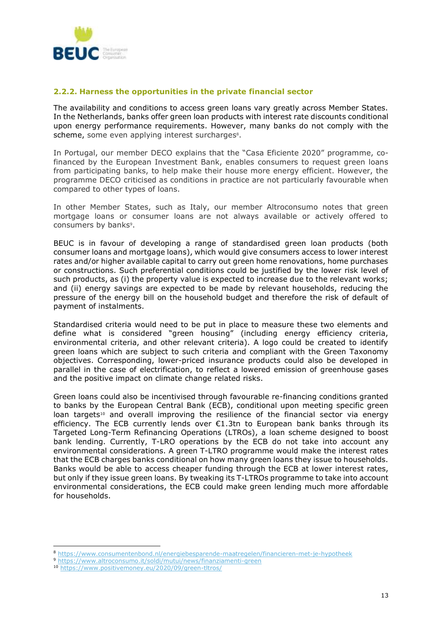

#### **2.2.2. Harness the opportunities in the private financial sector**

The availability and conditions to access green loans vary greatly across Member States. In the Netherlands, banks offer green loan products with interest rate discounts conditional upon energy performance requirements. However, many banks do not comply with the scheme, some even applying interest surcharges<sup>8</sup>.

In Portugal, our member DECO explains that the "Casa Eficiente 2020" programme, cofinanced by the European Investment Bank, enables consumers to request green loans from participating banks, to help make their house more energy efficient. However, the programme DECO criticised as conditions in practice are not particularly favourable when compared to other types of loans.

In other Member States, such as Italy, our member Altroconsumo notes that green mortgage loans or consumer loans are not always available or actively offered to consumers by banks<sup>9</sup>.

BEUC is in favour of developing a range of standardised green loan products (both consumer loans and mortgage loans), which would give consumers access to lower interest rates and/or higher available capital to carry out green home renovations, home purchases or constructions. Such preferential conditions could be justified by the lower risk level of such products, as (i) the property value is expected to increase due to the relevant works; and (ii) energy savings are expected to be made by relevant households, reducing the pressure of the energy bill on the household budget and therefore the risk of default of payment of instalments.

Standardised criteria would need to be put in place to measure these two elements and define what is considered "green housing" (including energy efficiency criteria, environmental criteria, and other relevant criteria). A logo could be created to identify green loans which are subject to such criteria and compliant with the Green Taxonomy objectives. Corresponding, lower-priced insurance products could also be developed in parallel in the case of electrification, to reflect a lowered emission of greenhouse gases and the positive impact on climate change related risks.

Green loans could also be incentivised through favourable re-financing conditions granted to banks by the European Central Bank (ECB), conditional upon meeting specific green loan targets<sup>10</sup> and overall improving the resilience of the financial sector via energy efficiency. The ECB currently lends over  $\epsilon$ 1.3tn to European bank banks through its Targeted Long-Term Refinancing Operations (LTROs), a loan scheme designed to boost bank lending. Currently, T-LRO operations by the ECB do not take into account any environmental considerations. A green T-LTRO programme would make the interest rates that the ECB charges banks conditional on how many green loans they issue to households. Banks would be able to access cheaper funding through the ECB at lower interest rates, but only if they issue green loans. By tweaking its T-LTROs programme to take into account environmental considerations, the ECB could make green lending much more affordable for households.

<sup>8</sup> <https://www.consumentenbond.nl/energiebesparende-maatregelen/financieren-met-je-hypotheek>

<sup>9</sup> <https://www.altroconsumo.it/soldi/mutui/news/finanziamenti-green>

<sup>10</sup> <https://www.positivemoney.eu/2020/09/green-tltros/>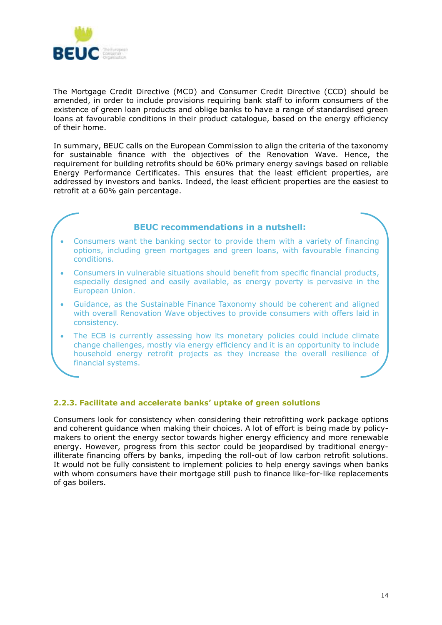

The Mortgage Credit Directive (MCD) and Consumer Credit Directive (CCD) should be amended, in order to include provisions requiring bank staff to inform consumers of the existence of green loan products and oblige banks to have a range of standardised green loans at favourable conditions in their product catalogue, based on the energy efficiency of their home.

In summary, BEUC calls on the European Commission to align the criteria of the taxonomy for sustainable finance with the objectives of the Renovation Wave. Hence, the requirement for building retrofits should be 60% primary energy savings based on reliable Energy Performance Certificates. This ensures that the least efficient properties, are addressed by investors and banks. Indeed, the least efficient properties are the easiest to retrofit at a 60% gain percentage.

## **BEUC recommendations in a nutshell:**

- Consumers want the banking sector to provide them with a variety of financing options, including green mortgages and green loans, with favourable financing conditions.
- Consumers in vulnerable situations should benefit from specific financial products, especially designed and easily available, as energy poverty is pervasive in the European Union.
- Guidance, as the Sustainable Finance Taxonomy should be coherent and aligned with overall Renovation Wave objectives to provide consumers with offers laid in consistency.
- The ECB is currently assessing how its monetary policies could include climate change challenges, mostly via energy efficiency and it is an opportunity to include household energy retrofit projects as they increase the overall resilience of financial systems.

## **2.2.3. Facilitate and accelerate banks' uptake of green solutions**

Consumers look for consistency when considering their retrofitting work package options and coherent guidance when making their choices. A lot of effort is being made by policymakers to orient the energy sector towards higher energy efficiency and more renewable energy. However, progress from this sector could be jeopardised by traditional energyilliterate financing offers by banks, impeding the roll-out of low carbon retrofit solutions. It would not be fully consistent to implement policies to help energy savings when banks with whom consumers have their mortgage still push to finance like-for-like replacements of gas boilers.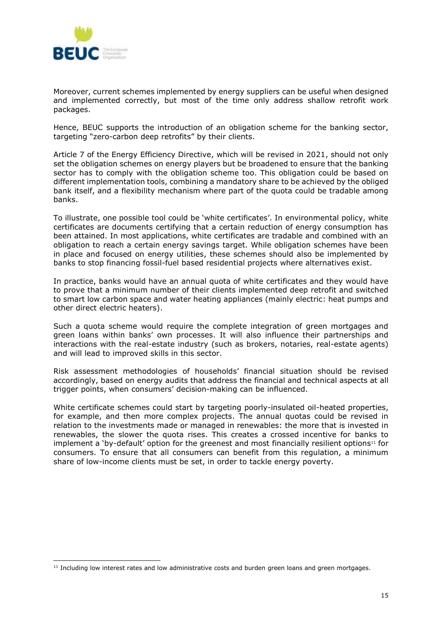

Moreover, current schemes implemented by energy suppliers can be useful when designed and implemented correctly, but most of the time only address shallow retrofit work packages.

Hence, BEUC supports the introduction of an obligation scheme for the banking sector, targeting "zero-carbon deep retrofits" by their clients.

Article 7 of the Energy Efficiency Directive, which will be revised in 2021, should not only set the obligation schemes on energy players but be broadened to ensure that the banking sector has to comply with the obligation scheme too. This obligation could be based on different implementation tools, combining a mandatory share to be achieved by the obliged bank itself, and a flexibility mechanism where part of the quota could be tradable among banks.

To illustrate, one possible tool could be 'white certificates'. In environmental policy, white certificates are documents certifying that a certain reduction of energy consumption has been attained. In most applications, white certificates are tradable and combined with an obligation to reach a certain energy savings target. While obligation schemes have been in place and focused on energy utilities, these schemes should also be implemented by banks to stop financing fossil-fuel based residential projects where alternatives exist.

In practice, banks would have an annual quota of white certificates and they would have to prove that a minimum number of their clients implemented deep retrofit and switched to smart low carbon space and water heating appliances (mainly electric: heat pumps and other direct electric heaters).

Such a quota scheme would require the complete integration of green mortgages and green loans within banks' own processes. It will also influence their partnerships and interactions with the real-estate industry (such as brokers, notaries, real-estate agents) and will lead to improved skills in this sector.

Risk assessment methodologies of households' financial situation should be revised accordingly, based on energy audits that address the financial and technical aspects at all trigger points, when consumers' decision-making can be influenced.

White certificate schemes could start by targeting poorly-insulated oil-heated properties, for example, and then more complex projects. The annual quotas could be revised in relation to the investments made or managed in renewables: the more that is invested in renewables, the slower the quota rises. This creates a crossed incentive for banks to implement a 'by-default' option for the greenest and most financially resilient options<sup>11</sup> for consumers. To ensure that all consumers can benefit from this regulation, a minimum share of low-income clients must be set, in order to tackle energy poverty.

 $11$  Including low interest rates and low administrative costs and burden green loans and green mortgages.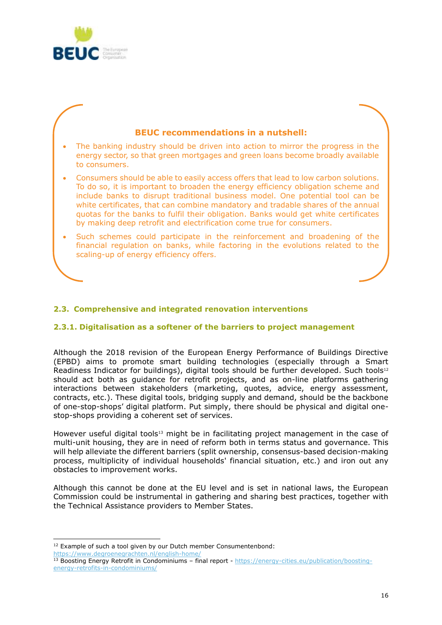

## **BEUC recommendations in a nutshell:** The banking industry should be driven into action to mirror the progress in the energy sector, so that green mortgages and green loans become broadly available to consumers. • Consumers should be able to easily access offers that lead to low carbon solutions. To do so, it is important to broaden the energy efficiency obligation scheme and include banks to disrupt traditional business model. One potential tool can be white certificates, that can combine mandatory and tradable shares of the annual quotas for the banks to fulfil their obligation. Banks would get white certificates by making deep retrofit and electrification come true for consumers. • Such schemes could participate in the reinforcement and broadening of the financial regulation on banks, while factoring in the evolutions related to the scaling-up of energy efficiency offers.

## **2.3. Comprehensive and integrated renovation interventions**

## **2.3.1. Digitalisation as a softener of the barriers to project management**

Although the 2018 revision of the European Energy Performance of Buildings Directive (EPBD) aims to promote smart building technologies (especially through a Smart Readiness Indicator for buildings), digital tools should be further developed. Such tools<sup>12</sup> should act both as guidance for retrofit projects, and as on-line platforms gathering interactions between stakeholders (marketing, quotes, advice, energy assessment, contracts, etc.). These digital tools, bridging supply and demand, should be the backbone of one-stop-shops' digital platform. Put simply, there should be physical and digital onestop-shops providing a coherent set of services.

However useful digital tools<sup>13</sup> might be in facilitating project management in the case of multi-unit housing, they are in need of reform both in terms status and governance. This will help alleviate the different barriers (split ownership, consensus-based decision-making process, multiplicity of individual households' financial situation, etc.) and iron out any obstacles to improvement works.

Although this cannot be done at the EU level and is set in national laws, the European Commission could be instrumental in gathering and sharing best practices, together with the Technical Assistance providers to Member States.

<sup>&</sup>lt;sup>12</sup> Example of such a tool given by our Dutch member Consumentenbond: <https://www.degroenegrachten.nl/english-home/>

<sup>13</sup> Boosting Energy Retrofit in Condominiums – final report - [https://energy-cities.eu/publication/boosting](https://energy-cities.eu/publication/boosting-energy-retrofits-in-condominiums/)[energy-retrofits-in-condominiums/](https://energy-cities.eu/publication/boosting-energy-retrofits-in-condominiums/)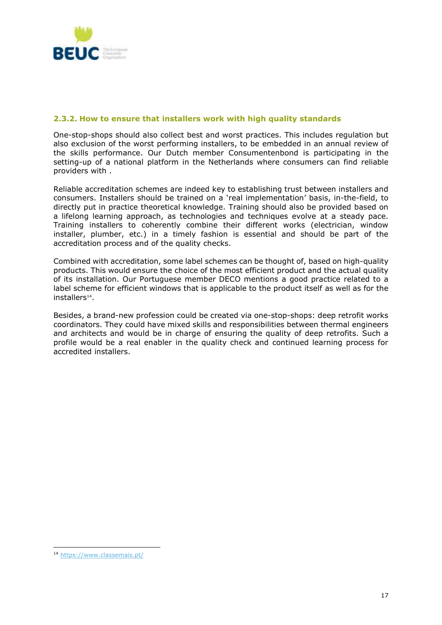

### **2.3.2. How to ensure that installers work with high quality standards**

One-stop-shops should also collect best and worst practices. This includes regulation but also exclusion of the worst performing installers, to be embedded in an annual review of the skills performance. Our Dutch member Consumentenbond is participating in the setting-up of a national platform in the Netherlands where consumers can find reliable providers with .

Reliable accreditation schemes are indeed key to establishing trust between installers and consumers. Installers should be trained on a 'real implementation' basis, in-the-field, to directly put in practice theoretical knowledge. Training should also be provided based on a lifelong learning approach, as technologies and techniques evolve at a steady pace. Training installers to coherently combine their different works (electrician, window installer, plumber, etc.) in a timely fashion is essential and should be part of the accreditation process and of the quality checks.

Combined with accreditation, some label schemes can be thought of, based on high-quality products. This would ensure the choice of the most efficient product and the actual quality of its installation. Our Portuguese member DECO mentions a good practice related to a label scheme for efficient windows that is applicable to the product itself as well as for the installers<sup>14</sup>.

Besides, a brand-new profession could be created via one-stop-shops: deep retrofit works coordinators. They could have mixed skills and responsibilities between thermal engineers and architects and would be in charge of ensuring the quality of deep retrofits. Such a profile would be a real enabler in the quality check and continued learning process for accredited installers.

<sup>14</sup> <https://www.classemais.pt/>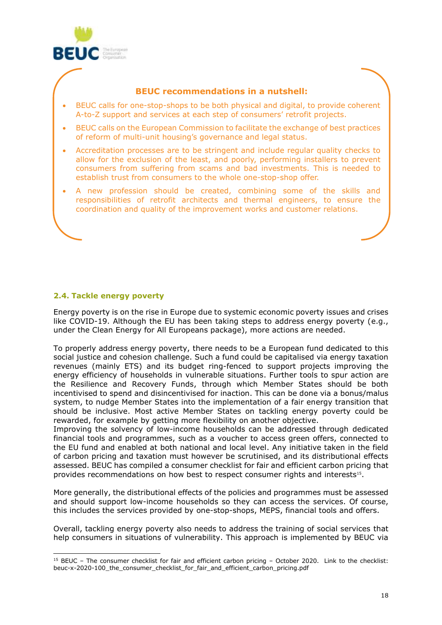

## **BEUC recommendations in a nutshell:**

- BEUC calls for one-stop-shops to be both physical and digital, to provide coherent A-to-Z support and services at each step of consumers' retrofit projects.
- BEUC calls on the European Commission to facilitate the exchange of best practices of reform of multi-unit housing's governance and legal status.
- Accreditation processes are to be stringent and include regular quality checks to allow for the exclusion of the least, and poorly, performing installers to prevent consumers from suffering from scams and bad investments. This is needed to establish trust from consumers to the whole one-stop-shop offer.
- A new profession should be created, combining some of the skills and responsibilities of retrofit architects and thermal engineers, to ensure the coordination and quality of the improvement works and customer relations.

## **2.4. Tackle energy poverty**

Energy poverty is on the rise in Europe due to systemic economic poverty issues and crises like COVID-19. Although the EU has been taking steps to address energy poverty (e.g., under the Clean Energy for All Europeans package), more actions are needed.

To properly address energy poverty, there needs to be a European fund dedicated to this social justice and cohesion challenge. Such a fund could be capitalised via energy taxation revenues (mainly ETS) and its budget ring-fenced to support projects improving the energy efficiency of households in vulnerable situations. Further tools to spur action are the Resilience and Recovery Funds, through which Member States should be both incentivised to spend and disincentivised for inaction. This can be done via a bonus/malus system, to nudge Member States into the implementation of a fair energy transition that should be inclusive. Most active Member States on tackling energy poverty could be rewarded, for example by getting more flexibility on another objective.

Improving the solvency of low-income households can be addressed through dedicated financial tools and programmes, such as a voucher to access green offers, connected to the EU fund and enabled at both national and local level. Any initiative taken in the field of carbon pricing and taxation must however be scrutinised, and its distributional effects assessed. BEUC has compiled a consumer checklist for fair and efficient carbon pricing that provides recommendations on how best to respect consumer rights and interests<sup>15</sup>.

More generally, the distributional effects of the policies and programmes must be assessed and should support low-income households so they can access the services. Of course, this includes the services provided by one-stop-shops, MEPS, financial tools and offers.

Overall, tackling energy poverty also needs to address the training of social services that help consumers in situations of vulnerability. This approach is implemented by BEUC via

<sup>15</sup> BEUC – The consumer checklist for fair and efficient carbon pricing – October 2020. Link to the checklist: beuc-x-2020-100\_the\_consumer\_checklist\_for\_fair\_and\_efficient\_carbon\_pricing.pdf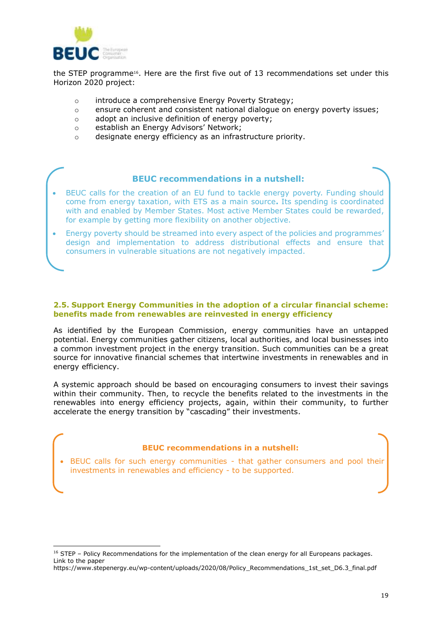

the STEP programme<sup>16</sup>. Here are the first five out of 13 recommendations set under this Horizon 2020 project:

- o introduce a comprehensive Energy Poverty Strategy;
- o ensure coherent and consistent national dialogue on energy poverty issues;
- o adopt an inclusive definition of energy poverty;
- o establish an Energy Advisors' Network;
- o designate energy efficiency as an infrastructure priority.

#### **BEUC recommendations in a nutshell:**

- BEUC calls for the creation of an EU fund to tackle energy poverty. Funding should come from energy taxation, with ETS as a main source**.** Its spending is coordinated with and enabled by Member States. Most active Member States could be rewarded, for example by getting more flexibility on another objective.
- Energy poverty should be streamed into every aspect of the policies and programmes' design and implementation to address distributional effects and ensure that consumers in vulnerable situations are not negatively impacted.

#### **2.5. Support Energy Communities in the adoption of a circular financial scheme: benefits made from renewables are reinvested in energy efficiency**

As identified by the European Commission, energy communities have an untapped potential. Energy communities gather citizens, local authorities, and local businesses into a common investment project in the energy transition. Such communities can be a great source for innovative financial schemes that intertwine investments in renewables and in energy efficiency.

A systemic approach should be based on encouraging consumers to invest their savings within their community. Then, to recycle the benefits related to the investments in the renewables into energy efficiency projects, again, within their community, to further accelerate the energy transition by "cascading" their investments.

#### **BEUC recommendations in a nutshell:**

• BEUC calls for such energy communities - that gather consumers and pool their investments in renewables and efficiency - to be supported.

<sup>&</sup>lt;sup>16</sup> STEP - Policy Recommendations for the implementation of the clean energy for all Europeans packages. Link to the paper

https://www.stepenergy.eu/wp-content/uploads/2020/08/Policy\_Recommendations\_1st\_set\_D6.3\_final.pdf